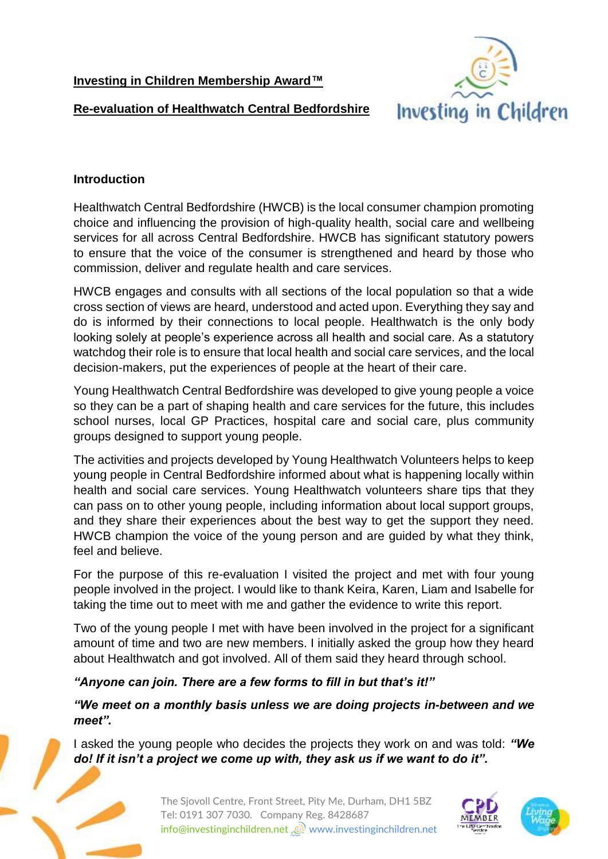**Investing in Children Membership Award™**



**Re-evaluation of Healthwatch Central Bedfordshire**

#### **Introduction**

Healthwatch Central Bedfordshire (HWCB) is the local consumer champion promoting choice and influencing the provision of high-quality health, social care and wellbeing services for all across Central Bedfordshire. HWCB has significant statutory powers to ensure that the voice of the consumer is strengthened and heard by those who commission, deliver and regulate health and care services.

HWCB engages and consults with all sections of the local population so that a wide cross section of views are heard, understood and acted upon. Everything they say and do is informed by their connections to local people. Healthwatch is the only body looking solely at people's experience across all health and social care. As a statutory watchdog their role is to ensure that local health and social care services, and the local decision-makers, put the experiences of people at the heart of their care.

Young Healthwatch Central Bedfordshire was developed to give young people a voice so they can be a part of shaping health and care services for the future, this includes school nurses, local GP Practices, hospital care and social care, plus community groups designed to support young people.

The activities and projects developed by Young Healthwatch Volunteers helps to keep young people in Central Bedfordshire informed about what is happening locally within health and social care services. Young Healthwatch volunteers share tips that they can pass on to other young people, including information about local support groups, and they share their experiences about the best way to get the support they need. HWCB champion the voice of the young person and are guided by what they think, feel and believe.

For the purpose of this re-evaluation I visited the project and met with four young people involved in the project. I would like to thank Keira, Karen, Liam and Isabelle for taking the time out to meet with me and gather the evidence to write this report.

Two of the young people I met with have been involved in the project for a significant amount of time and two are new members. I initially asked the group how they heard about Healthwatch and got involved. All of them said they heard through school.

# *"Anyone can join. There are a few forms to fill in but that's it!"*

*"We meet on a monthly basis unless we are doing projects in-between and we meet".*

I asked the young people who decides the projects they work on and was told: *"We do! If it isn't a project we come up with, they ask us if we want to do it".*





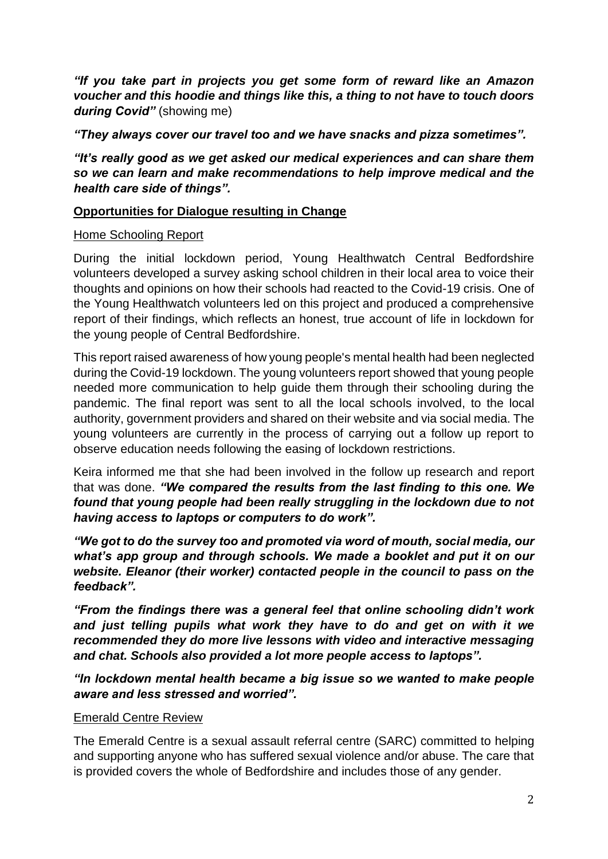*"If you take part in projects you get some form of reward like an Amazon voucher and this hoodie and things like this, a thing to not have to touch doors during Covid"* (showing me)

*"They always cover our travel too and we have snacks and pizza sometimes".*

*"It's really good as we get asked our medical experiences and can share them so we can learn and make recommendations to help improve medical and the health care side of things".*

### **Opportunities for Dialogue resulting in Change**

#### Home Schooling Report

During the initial lockdown period, Young Healthwatch Central Bedfordshire volunteers developed a survey asking school children in their local area to voice their thoughts and opinions on how their schools had reacted to the Covid-19 crisis. One of the Young Healthwatch volunteers led on this project and produced a comprehensive report of their findings, which reflects an honest, true account of life in lockdown for the young people of Central Bedfordshire.

This report raised awareness of how young people's mental health had been neglected during the Covid-19 lockdown. The young volunteers report showed that young people needed more communication to help guide them through their schooling during the pandemic. The final report was sent to all the local schools involved, to the local authority, government providers and shared on their website and via social media. The young volunteers are currently in the process of carrying out a follow up report to observe education needs following the easing of lockdown restrictions.

Keira informed me that she had been involved in the follow up research and report that was done. *"We compared the results from the last finding to this one. We found that young people had been really struggling in the lockdown due to not having access to laptops or computers to do work".*

*"We got to do the survey too and promoted via word of mouth, social media, our what's app group and through schools. We made a booklet and put it on our website. Eleanor (their worker) contacted people in the council to pass on the feedback".*

*"From the findings there was a general feel that online schooling didn't work and just telling pupils what work they have to do and get on with it we recommended they do more live lessons with video and interactive messaging and chat. Schools also provided a lot more people access to laptops".*

*"In lockdown mental health became a big issue so we wanted to make people aware and less stressed and worried".*

#### Emerald Centre Review

The Emerald Centre is a sexual assault referral centre (SARC) committed to helping and supporting anyone who has suffered sexual violence and/or abuse. The care that is provided covers the whole of Bedfordshire and includes those of any gender.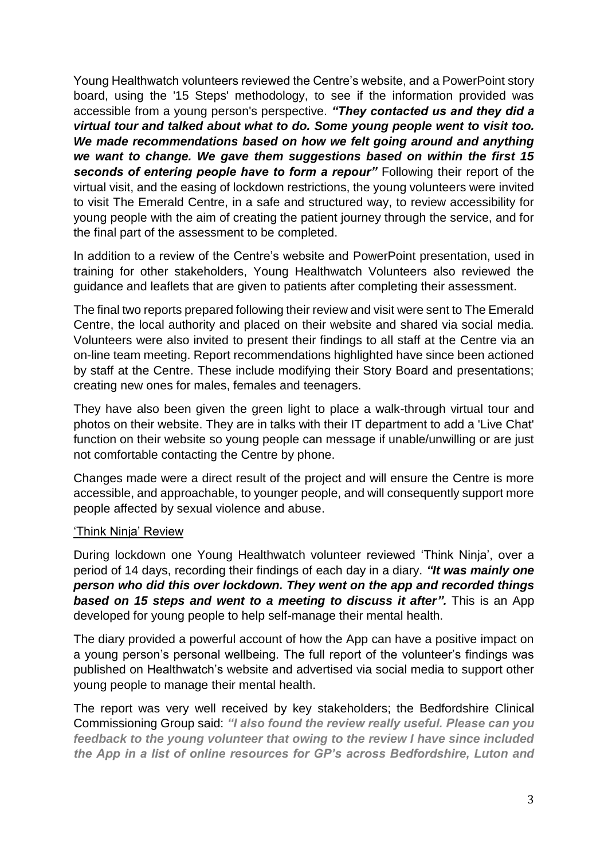Young Healthwatch volunteers reviewed the Centre's website, and a PowerPoint story board, using the '15 Steps' methodology, to see if the information provided was accessible from a young person's perspective. *"They contacted us and they did a virtual tour and talked about what to do. Some young people went to visit too. We made recommendations based on how we felt going around and anything we want to change. We gave them suggestions based on within the first 15*  seconds of entering people have to form a repour" Following their report of the virtual visit, and the easing of lockdown restrictions, the young volunteers were invited to visit The Emerald Centre, in a safe and structured way, to review accessibility for young people with the aim of creating the patient journey through the service, and for the final part of the assessment to be completed.

In addition to a review of the Centre's website and PowerPoint presentation, used in training for other stakeholders, Young Healthwatch Volunteers also reviewed the guidance and leaflets that are given to patients after completing their assessment.

The final two reports prepared following their review and visit were sent to The Emerald Centre, the local authority and placed on their website and shared via social media. Volunteers were also invited to present their findings to all staff at the Centre via an on-line team meeting. Report recommendations highlighted have since been actioned by staff at the Centre. These include modifying their Story Board and presentations; creating new ones for males, females and teenagers.

They have also been given the green light to place a walk-through virtual tour and photos on their website. They are in talks with their IT department to add a 'Live Chat' function on their website so young people can message if unable/unwilling or are just not comfortable contacting the Centre by phone.

Changes made were a direct result of the project and will ensure the Centre is more accessible, and approachable, to younger people, and will consequently support more people affected by sexual violence and abuse.

#### 'Think Ninja' Review

During lockdown one Young Healthwatch volunteer reviewed 'Think Ninja', over a period of 14 days, recording their findings of each day in a diary. *"It was mainly one person who did this over lockdown. They went on the app and recorded things based on 15 steps and went to a meeting to discuss it after".* This is an App developed for young people to help self-manage their mental health.

The diary provided a powerful account of how the App can have a positive impact on a young person's personal wellbeing. The full report of the volunteer's findings was published on Healthwatch's website and advertised via social media to support other young people to manage their mental health.

The report was very well received by key stakeholders; the Bedfordshire Clinical Commissioning Group said: *"I also found the review really useful. Please can you feedback to the young volunteer that owing to the review I have since included the App in a list of online resources for GP's across Bedfordshire, Luton and*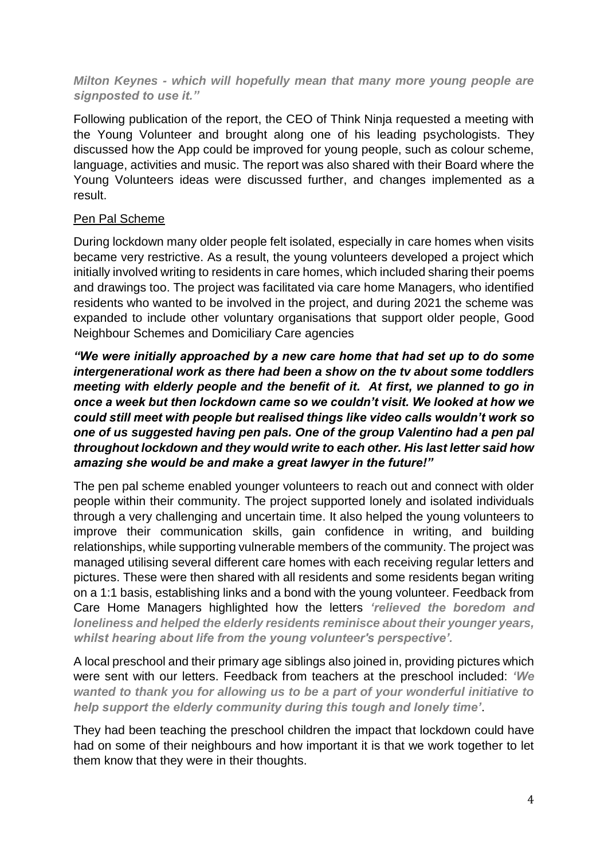#### *Milton Keynes - which will hopefully mean that many more young people are signposted to use it."*

Following publication of the report, the CEO of Think Ninja requested a meeting with the Young Volunteer and brought along one of his leading psychologists. They discussed how the App could be improved for young people, such as colour scheme, language, activities and music. The report was also shared with their Board where the Young Volunteers ideas were discussed further, and changes implemented as a result.

# Pen Pal Scheme

During lockdown many older people felt isolated, especially in care homes when visits became very restrictive. As a result, the young volunteers developed a project which initially involved writing to residents in care homes, which included sharing their poems and drawings too. The project was facilitated via care home Managers, who identified residents who wanted to be involved in the project, and during 2021 the scheme was expanded to include other voluntary organisations that support older people, Good Neighbour Schemes and Domiciliary Care agencies

*"We were initially approached by a new care home that had set up to do some intergenerational work as there had been a show on the tv about some toddlers meeting with elderly people and the benefit of it. At first, we planned to go in once a week but then lockdown came so we couldn't visit. We looked at how we could still meet with people but realised things like video calls wouldn't work so one of us suggested having pen pals. One of the group Valentino had a pen pal throughout lockdown and they would write to each other. His last letter said how amazing she would be and make a great lawyer in the future!"*

The pen pal scheme enabled younger volunteers to reach out and connect with older people within their community. The project supported lonely and isolated individuals through a very challenging and uncertain time. It also helped the young volunteers to improve their communication skills, gain confidence in writing, and building relationships, while supporting vulnerable members of the community. The project was managed utilising several different care homes with each receiving regular letters and pictures. These were then shared with all residents and some residents began writing on a 1:1 basis, establishing links and a bond with the young volunteer. Feedback from Care Home Managers highlighted how the letters *'relieved the boredom and loneliness and helped the elderly residents reminisce about their younger years, whilst hearing about life from the young volunteer's perspective'.* 

A local preschool and their primary age siblings also joined in, providing pictures which were sent with our letters. Feedback from teachers at the preschool included: *'We wanted to thank you for allowing us to be a part of your wonderful initiative to help support the elderly community during this tough and lonely time'*.

They had been teaching the preschool children the impact that lockdown could have had on some of their neighbours and how important it is that we work together to let them know that they were in their thoughts.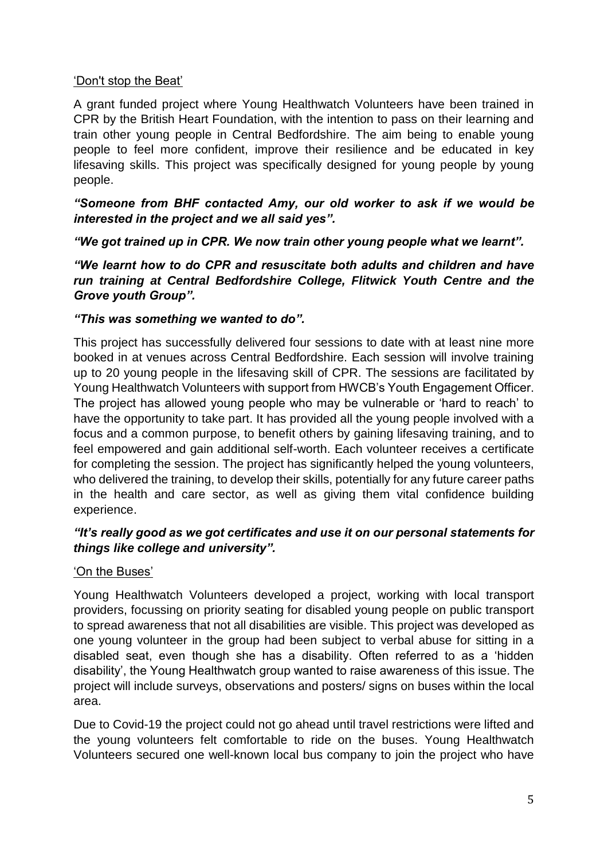### 'Don't stop the Beat'

A grant funded project where Young Healthwatch Volunteers have been trained in CPR by the British Heart Foundation, with the intention to pass on their learning and train other young people in Central Bedfordshire. The aim being to enable young people to feel more confident, improve their resilience and be educated in key lifesaving skills. This project was specifically designed for young people by young people.

*"Someone from BHF contacted Amy, our old worker to ask if we would be interested in the project and we all said yes".*

*"We got trained up in CPR. We now train other young people what we learnt".*

*"We learnt how to do CPR and resuscitate both adults and children and have run training at Central Bedfordshire College, Flitwick Youth Centre and the Grove youth Group".*

#### *"This was something we wanted to do".*

This project has successfully delivered four sessions to date with at least nine more booked in at venues across Central Bedfordshire. Each session will involve training up to 20 young people in the lifesaving skill of CPR. The sessions are facilitated by Young Healthwatch Volunteers with support from HWCB's Youth Engagement Officer. The project has allowed young people who may be vulnerable or 'hard to reach' to have the opportunity to take part. It has provided all the young people involved with a focus and a common purpose, to benefit others by gaining lifesaving training, and to feel empowered and gain additional self-worth. Each volunteer receives a certificate for completing the session. The project has significantly helped the young volunteers, who delivered the training, to develop their skills, potentially for any future career paths in the health and care sector, as well as giving them vital confidence building experience.

# *"It's really good as we got certificates and use it on our personal statements for things like college and university".*

# 'On the Buses'

Young Healthwatch Volunteers developed a project, working with local transport providers, focussing on priority seating for disabled young people on public transport to spread awareness that not all disabilities are visible. This project was developed as one young volunteer in the group had been subject to verbal abuse for sitting in a disabled seat, even though she has a disability. Often referred to as a 'hidden disability', the Young Healthwatch group wanted to raise awareness of this issue. The project will include surveys, observations and posters/ signs on buses within the local area.

Due to Covid-19 the project could not go ahead until travel restrictions were lifted and the young volunteers felt comfortable to ride on the buses. Young Healthwatch Volunteers secured one well-known local bus company to join the project who have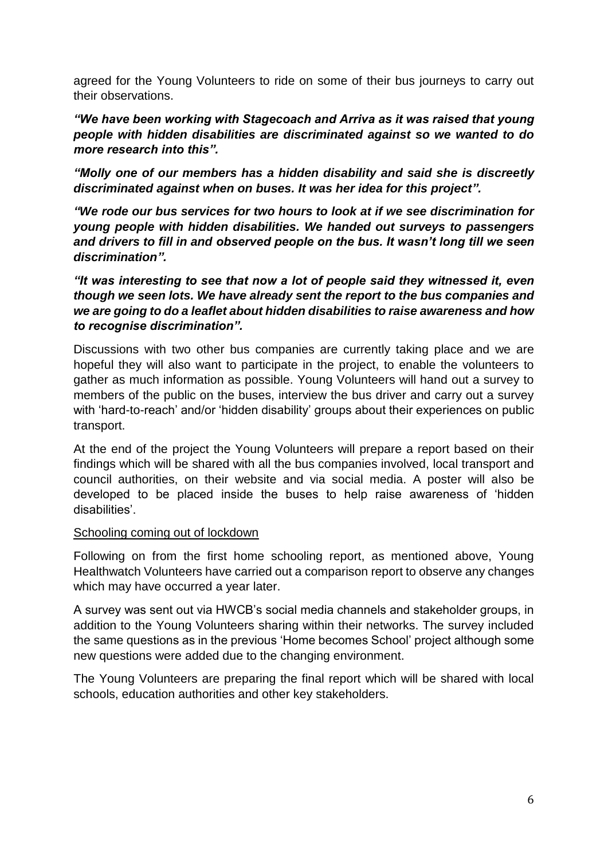agreed for the Young Volunteers to ride on some of their bus journeys to carry out their observations.

*"We have been working with Stagecoach and Arriva as it was raised that young people with hidden disabilities are discriminated against so we wanted to do more research into this".*

*"Molly one of our members has a hidden disability and said she is discreetly discriminated against when on buses. It was her idea for this project".*

*"We rode our bus services for two hours to look at if we see discrimination for young people with hidden disabilities. We handed out surveys to passengers and drivers to fill in and observed people on the bus. It wasn't long till we seen discrimination".*

*"It was interesting to see that now a lot of people said they witnessed it, even though we seen lots. We have already sent the report to the bus companies and we are going to do a leaflet about hidden disabilities to raise awareness and how to recognise discrimination".*

Discussions with two other bus companies are currently taking place and we are hopeful they will also want to participate in the project, to enable the volunteers to gather as much information as possible. Young Volunteers will hand out a survey to members of the public on the buses, interview the bus driver and carry out a survey with 'hard-to-reach' and/or 'hidden disability' groups about their experiences on public transport.

At the end of the project the Young Volunteers will prepare a report based on their findings which will be shared with all the bus companies involved, local transport and council authorities, on their website and via social media. A poster will also be developed to be placed inside the buses to help raise awareness of 'hidden disabilities'.

#### Schooling coming out of lockdown

Following on from the first home schooling report, as mentioned above, Young Healthwatch Volunteers have carried out a comparison report to observe any changes which may have occurred a year later.

A survey was sent out via HWCB's social media channels and stakeholder groups, in addition to the Young Volunteers sharing within their networks. The survey included the same questions as in the previous 'Home becomes School' project although some new questions were added due to the changing environment.

The Young Volunteers are preparing the final report which will be shared with local schools, education authorities and other key stakeholders.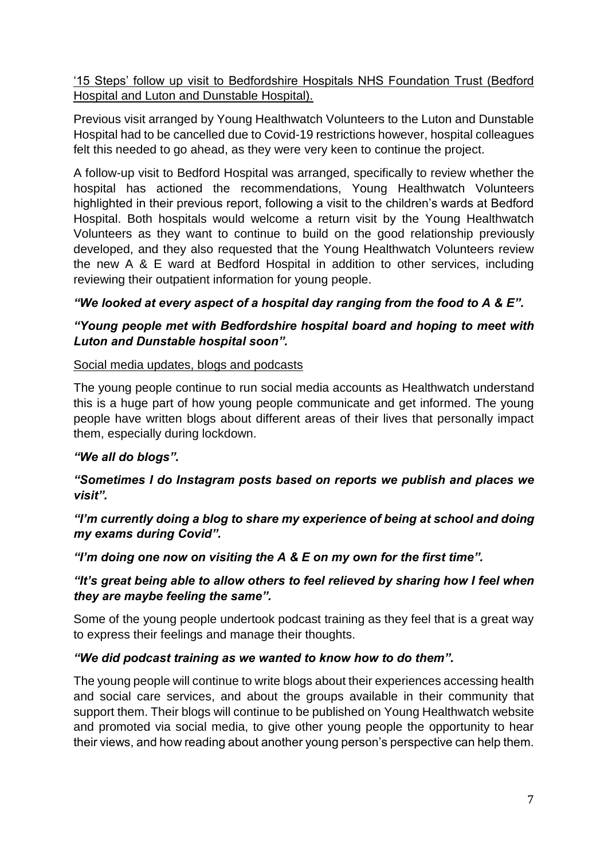'15 Steps' follow up visit to Bedfordshire Hospitals NHS Foundation Trust (Bedford Hospital and Luton and Dunstable Hospital).

Previous visit arranged by Young Healthwatch Volunteers to the Luton and Dunstable Hospital had to be cancelled due to Covid-19 restrictions however, hospital colleagues felt this needed to go ahead, as they were very keen to continue the project.

A follow-up visit to Bedford Hospital was arranged, specifically to review whether the hospital has actioned the recommendations, Young Healthwatch Volunteers highlighted in their previous report, following a visit to the children's wards at Bedford Hospital. Both hospitals would welcome a return visit by the Young Healthwatch Volunteers as they want to continue to build on the good relationship previously developed, and they also requested that the Young Healthwatch Volunteers review the new A & E ward at Bedford Hospital in addition to other services, including reviewing their outpatient information for young people.

# *"We looked at every aspect of a hospital day ranging from the food to A & E".*

# *"Young people met with Bedfordshire hospital board and hoping to meet with Luton and Dunstable hospital soon".*

# Social media updates, blogs and podcasts

The young people continue to run social media accounts as Healthwatch understand this is a huge part of how young people communicate and get informed. The young people have written blogs about different areas of their lives that personally impact them, especially during lockdown.

# *"We all do blogs".*

# *"Sometimes I do Instagram posts based on reports we publish and places we visit".*

*"I'm currently doing a blog to share my experience of being at school and doing my exams during Covid".*

*"I'm doing one now on visiting the A & E on my own for the first time".*

# *"It's great being able to allow others to feel relieved by sharing how I feel when they are maybe feeling the same".*

Some of the young people undertook podcast training as they feel that is a great way to express their feelings and manage their thoughts.

# *"We did podcast training as we wanted to know how to do them".*

The young people will continue to write blogs about their experiences accessing health and social care services, and about the groups available in their community that support them. Their blogs will continue to be published on Young Healthwatch website and promoted via social media, to give other young people the opportunity to hear their views, and how reading about another young person's perspective can help them.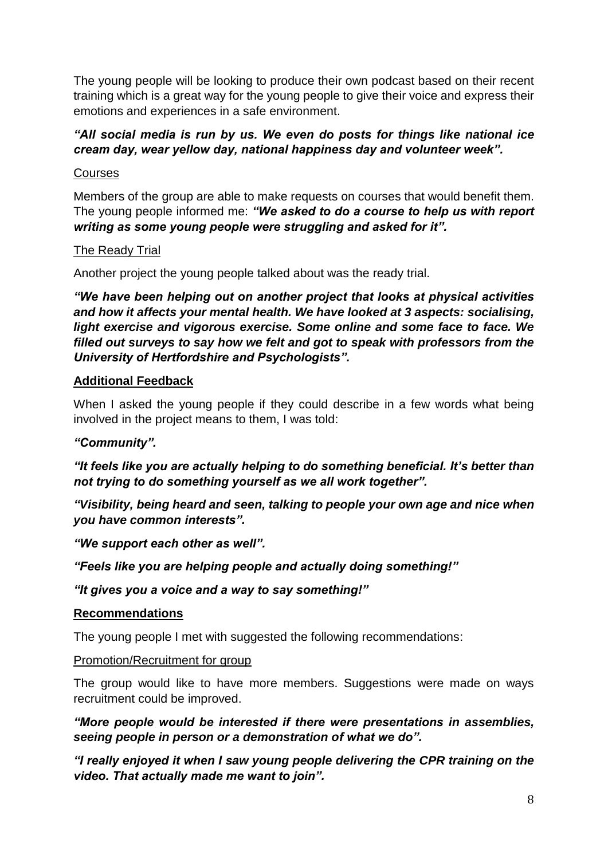The young people will be looking to produce their own podcast based on their recent training which is a great way for the young people to give their voice and express their emotions and experiences in a safe environment.

# *"All social media is run by us. We even do posts for things like national ice cream day, wear yellow day, national happiness day and volunteer week".*

# Courses

Members of the group are able to make requests on courses that would benefit them. The young people informed me: *"We asked to do a course to help us with report writing as some young people were struggling and asked for it".*

# The Ready Trial

Another project the young people talked about was the ready trial.

*"We have been helping out on another project that looks at physical activities and how it affects your mental health. We have looked at 3 aspects: socialising, light exercise and vigorous exercise. Some online and some face to face. We filled out surveys to say how we felt and got to speak with professors from the University of Hertfordshire and Psychologists".*

# **Additional Feedback**

When I asked the young people if they could describe in a few words what being involved in the project means to them, I was told:

# *"Community".*

*"It feels like you are actually helping to do something beneficial. It's better than not trying to do something yourself as we all work together".*

*"Visibility, being heard and seen, talking to people your own age and nice when you have common interests".*

*"We support each other as well".*

*"Feels like you are helping people and actually doing something!"*

*"It gives you a voice and a way to say something!"*

# **Recommendations**

The young people I met with suggested the following recommendations:

#### Promotion/Recruitment for group

The group would like to have more members. Suggestions were made on ways recruitment could be improved.

*"More people would be interested if there were presentations in assemblies, seeing people in person or a demonstration of what we do".*

*"I really enjoyed it when I saw young people delivering the CPR training on the video. That actually made me want to join".*